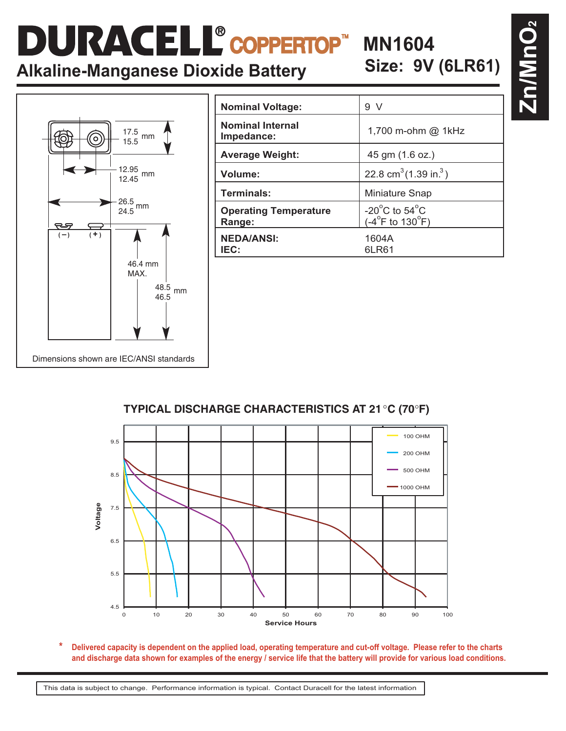# COPPERTOP<sup>™</sup> MN1604

**Alkaline-Manganese Dioxide Battery**

## **Size: 9V (6LR61)**

**Zn/MnO 2**



| <b>Nominal Voltage:</b>                | 9 V                                                                             |
|----------------------------------------|---------------------------------------------------------------------------------|
| <b>Nominal Internal</b><br>Impedance:  | 1,700 m-ohm @ 1kHz                                                              |
| <b>Average Weight:</b>                 | 45 gm (1.6 oz.)                                                                 |
| Volume:                                | 22.8 cm <sup>3</sup> $(1.39 \text{ in.}^3)$                                     |
| Terminals:                             | Miniature Snap                                                                  |
| <b>Operating Temperature</b><br>Range: | -20 $^{\circ}$ C to 54 $^{\circ}$ C<br>$(-4^{\circ}F \text{ to } 130^{\circ}F)$ |
| <b>NEDA/ANSI:</b><br>IEC:              | 1604A<br>6LR61                                                                  |

### **TYPICAL DISCHARGE CHARACTERISTICS AT 21**°**C (70**°**F)**



**Delivered capacity is dependent on the applied load, operating temperature and cut-off voltage. Please refer to the charts and discharge data shown for examples of the energy / service life that the battery will provide for various load conditions. \***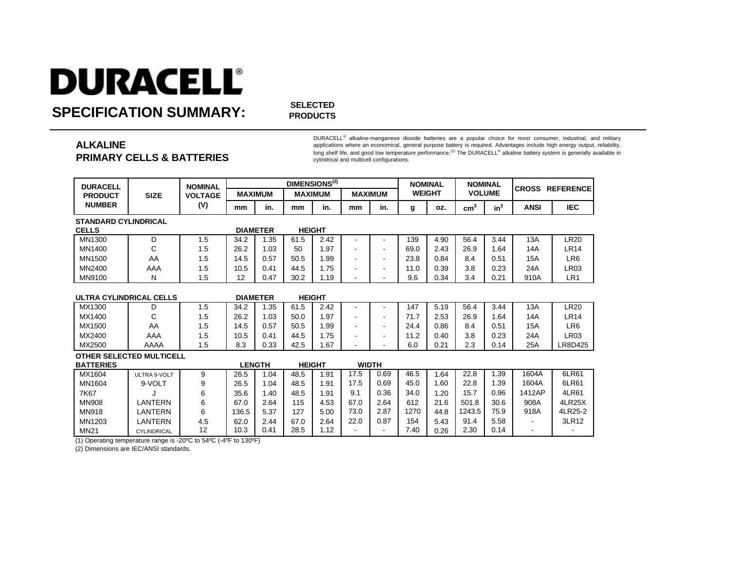## **DURACELL®**

**SPECIFICATION SUMMARY:**

**SELECTED PRODUCTS**

#### **PRIMARY CELLS & BATTERIES ALKALINE**

Г

DURACELL<sup>®</sup> alkaline-manganese dioxide batteries are a popular choice for most consumer, industrial, and military<br>applications where an economical, general purpose battery is required. Advantages include high energy output long shelf life, and good low temperature performance.<sup>(1)</sup> The DURACELL® alkaline battery system is generally available in cylindrical and multicell configurations.

| <b>DURACELL</b>                 |                             | <b>NOMINAL</b> | DIMENSIONS <sup>(2)</sup> |                                  |                |               |                |                          | <b>NOMINAL</b> |      | <b>NOMINAL</b>  |        |             |                        |
|---------------------------------|-----------------------------|----------------|---------------------------|----------------------------------|----------------|---------------|----------------|--------------------------|----------------|------|-----------------|--------|-------------|------------------------|
| <b>PRODUCT</b>                  | <b>SIZE</b>                 | <b>VOLTAGE</b> | <b>MAXIMUM</b>            |                                  | <b>MAXIMUM</b> |               |                | <b>MAXIMUM</b>           | <b>WEIGHT</b>  |      | <b>VOLUME</b>   |        |             | <b>CROSS REFERENCE</b> |
| <b>NUMBER</b>                   |                             | (V)            | mm                        | in.                              | mm             | in.           | mm             | in.                      | g              | OZ.  | cm <sup>3</sup> | $in^3$ | <b>ANSI</b> | <b>IEC</b>             |
|                                 | <b>STANDARD CYLINDRICAL</b> |                |                           |                                  |                |               |                |                          |                |      |                 |        |             |                        |
| <b>CELLS</b>                    |                             |                |                           | <b>DIAMETER</b>                  |                | <b>HEIGHT</b> |                |                          |                |      |                 |        |             |                        |
| MN1300                          | D                           | 1.5            | 34.2                      | 1.35                             | 61.5           | 2.42          |                |                          | 139            | 4.90 | 56.4            | 3.44   | 13A         | <b>LR20</b>            |
| MN1400                          | C                           | 1.5            | 26.2                      | 1.03                             | 50             | 1.97          |                |                          | 69.0           | 2.43 | 26.9            | 1.64   | 14A         | <b>LR14</b>            |
| MN1500                          | AA                          | 1.5            | 14.5                      | 0.57                             | 50.5           | 1.99          |                | $\blacksquare$           | 23.8           | 0.84 | 8.4             | 0.51   | 15A         | LR <sub>6</sub>        |
| MN2400                          | AAA                         | 1.5            | 10.5                      | 0.41                             | 44.5           | 1.75          |                | $\overline{\phantom{a}}$ | 11.0           | 0.39 | 3.8             | 0.23   | 24A         | <b>LR03</b>            |
| MN9100                          | N                           | 1.5            | 12                        | 0.47                             | 30.2           | 1.19          |                | $\overline{\phantom{a}}$ | 9.6            | 0.34 | 3.4             | 0.21   | 910A        | LR <sub>1</sub>        |
|                                 |                             |                |                           |                                  |                |               |                |                          |                |      |                 |        |             |                        |
| <b>ULTRA CYLINDRICAL CELLS</b>  |                             |                |                           | <b>DIAMETER</b><br><b>HEIGHT</b> |                |               |                |                          |                |      |                 |        |             |                        |
| MX1300                          | D                           | 1.5            | 34.2                      | 1.35                             | 61.5           | 2.42          |                |                          | 147            | 5.19 | 56.4            | 3.44   | 13A         | <b>LR20</b>            |
| MX1400                          | C                           | 1.5            | 26.2                      | 1.03                             | 50.0           | 1.97          | $\blacksquare$ |                          | 71.7           | 2.53 | 26.9            | 1.64   | 14A         | <b>LR14</b>            |
| MX1500                          | AA                          | 1.5            | 14.5                      | 0.57                             | 50.5           | 1.99          |                | $\overline{\phantom{a}}$ | 24.4           | 0.86 | 8.4             | 0.51   | 15A         | LR <sub>6</sub>        |
| MX2400                          | AAA                         | 1.5            | 10.5                      | 0.41                             | 44.5           | 1.75          |                | $\blacksquare$           | 11.2           | 0.40 | 3.8             | 0.23   | 24A         | <b>LR03</b>            |
| MX2500                          | AAAA                        | 1.5            | 8.3                       | 0.33                             | 42.5           | 1.67          |                |                          | 6.0            | 0.21 | 2.3             | 0.14   | 25A         | LR8D425                |
| <b>OTHER SELECTED MULTICELL</b> |                             |                |                           |                                  |                |               |                |                          |                |      |                 |        |             |                        |
| <b>BATTERIES</b>                |                             |                |                           | <b>LENGTH</b>                    | <b>HEIGHT</b>  |               |                | <b>WIDTH</b>             |                |      |                 |        |             |                        |
| MX1604                          | ULTRA 9-VOLT                | 9              | 26.5                      | 1.04                             | 48.5           | 1.91          | 17.5           | 0.69                     | 46.5           | 1.64 | 22.8            | 1.39   | 1604A       | 6LR61                  |
| MN1604                          | 9-VOLT                      | 9              | 26.5                      | 1.04                             | 48.5           | 1.91          | 17.5           | 0.69                     | 45.0           | 1.60 | 22.8            | 1.39   | 1604A       | 6LR61                  |
| 7K67                            |                             | 6              | 35.6                      | 1.40                             | 48.5           | 1.91          | 9.1            | 0.36                     | 34.0           | 1.20 | 15.7            | 0.96   | 1412AP      | 4LR61                  |
| <b>MN908</b>                    | LANTERN                     | 6              | 67.0                      | 2.64                             | 115            | 4.53          | 67.0           | 2.64                     | 612            | 21.6 | 501.8           | 30.6   | 908A        | <b>4LR25X</b>          |
| <b>MN918</b>                    | LANTERN                     | 6              | 136.5                     | 5.37                             | 127            | 5.00          | 73.0           | 2.87                     | 1270           | 44.8 | 1243.5          | 75.9   | 918A        | 4LR25-2                |
| MN1203                          | LANTERN                     | 4.5            | 62.0                      | 2.44                             | 67.0           | 2.64          | 22.0           | 0.87                     | 154            | 5.43 | 91.4            | 5.58   |             | 3LR12                  |
| <b>MN21</b>                     | <b>CYLINDRICAL</b>          | 12             | 10.3                      | 0.41                             | 28.5           | 1.12          |                |                          | 7.40           | 0.26 | 2.30            | 0.14   |             |                        |

(1) Operating temperature range is -20ºC to 54ºC (-4ºF to 130ºF)

(2) Dimensions are IEC/ANSI standards.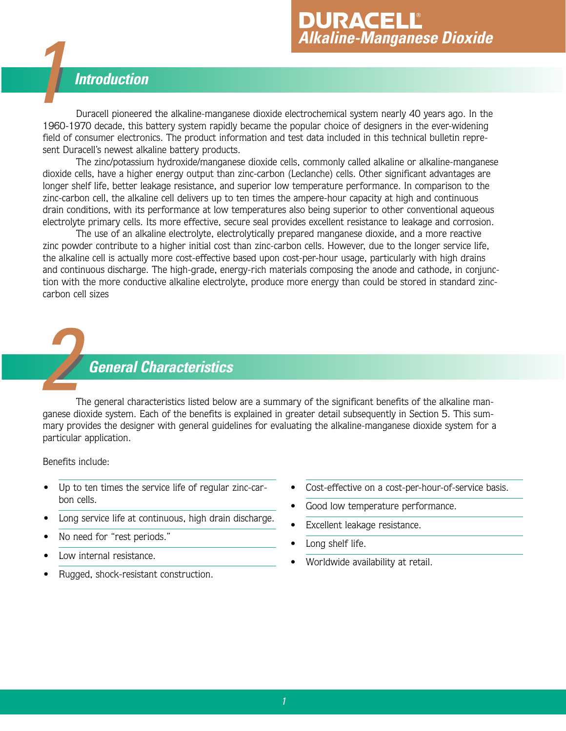## **Alkaline-Manganese Dioxide**

### **Introduction**

Duracell pioneered the alkaline-manganese dioxide electrochemical system nearly 40 years ago. In the 1960-1970 decade, this battery system rapidly became the popular choice of designers in the ever-widening field of consumer electronics. The product information and test data included in this technical bulletin represent Duracell's newest alkaline battery products.

The zinc/potassium hydroxide/manganese dioxide cells, commonly called alkaline or alkaline-manganese dioxide cells, have a higher energy output than zinc-carbon (Leclanche) cells. Other significant advantages are longer shelf life, better leakage resistance, and superior low temperature performance. In comparison to the zinc-carbon cell, the alkaline cell delivers up to ten times the ampere-hour capacity at high and continuous drain conditions, with its performance at low temperatures also being superior to other conventional aqueous electrolyte primary cells. Its more effective, secure seal provides excellent resistance to leakage and corrosion.

The use of an alkaline electrolyte, electrolytically prepared manganese dioxide, and a more reactive zinc powder contribute to a higher initial cost than zinc-carbon cells. However, due to the longer service life, the alkaline cell is actually more cost-effective based upon cost-per-hour usage, particularly with high drains and continuous discharge. The high-grade, energy-rich materials composing the anode and cathode, in conjunction with the more conductive alkaline electrolyte, produce more energy than could be stored in standard zinccarbon cell sizes

## **General Characteristics**

The general characteristics listed below are a summary of the significant benefits of the alkaline manganese dioxide system. Each of the benefits is explained in greater detail subsequently in Section 5. This summary provides the designer with general guidelines for evaluating the alkaline-manganese dioxide system for a particular application.

Benefits include:

- **•** Up to ten times the service life of regular zinc-carbon cells.
- **•** Long service life at continuous, high drain discharge.
- **•** No need for "rest periods."
- **•** Low internal resistance.
- **•** Rugged, shock-resistant construction.
- **•** Cost-effective on a cost-per-hour-of-service basis.
- Good low temperature performance.
- **•** Excellent leakage resistance.
- **•** Long shelf life.
- **•** Worldwide availability at retail.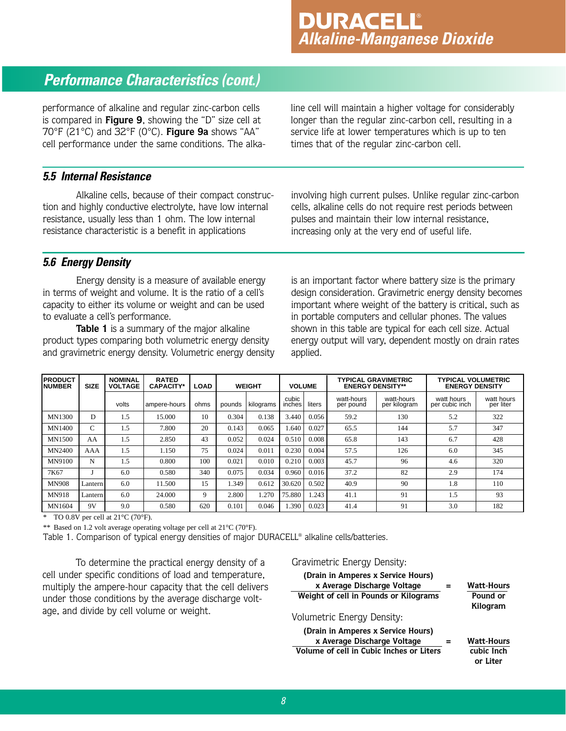## **Performance Characteristics (cont.)**

performance of alkaline and regular zinc-carbon cells is compared in **Figure 9**, showing the "D" size cell at 70°F (21°C) and 32°F (0°C). **Figure 9a** shows "AA" cell performance under the same conditions. The alkaline cell will maintain a higher voltage for considerably longer than the regular zinc-carbon cell, resulting in a service life at lower temperatures which is up to ten times that of the regular zinc-carbon cell.

#### **5.5 Internal Resistance**

Alkaline cells, because of their compact construction and highly conductive electrolyte, have low internal resistance, usually less than 1 ohm. The low internal resistance characteristic is a benefit in applications

involving high current pulses. Unlike regular zinc-carbon cells, alkaline cells do not require rest periods between pulses and maintain their low internal resistance, increasing only at the very end of useful life.

#### **5.6 Energy Density**

Energy density is a measure of available energy in terms of weight and volume. It is the ratio of a cell's capacity to either its volume or weight and can be used to evaluate a cell's performance.

**Table 1** is a summary of the major alkaline product types comparing both volumetric energy density and gravimetric energy density. Volumetric energy density is an important factor where battery size is the primary design consideration. Gravimetric energy density becomes important where weight of the battery is critical, such as in portable computers and cellular phones. The values shown in this table are typical for each cell size. Actual energy output will vary, dependent mostly on drain rates applied.

| <b>IPRODUCT</b><br><b>INUMBER</b> | <b>SIZE</b> | <b>NOMINAL</b><br><b>VOLTAGE</b> | <b>RATED</b><br><b>CAPACITY*</b> | <b>LOAD</b> |        | <b>WEIGHT</b> | <b>VOLUME</b>   |        | <b>TYPICAL GRAVIMETRIC</b><br><b>ENERGY DENSITY**</b> |                            | <b>TYPICAL VOLUMETRIC</b><br><b>ENERGY DENSITY</b> |                         |  |
|-----------------------------------|-------------|----------------------------------|----------------------------------|-------------|--------|---------------|-----------------|--------|-------------------------------------------------------|----------------------------|----------------------------------------------------|-------------------------|--|
|                                   |             | volts                            | ampere-hours                     | ohms        | pounds | kilograms     | cubic<br>inches | liters | watt-hours<br>per pound                               | watt-hours<br>per kilogram | watt hours<br>per cubic inch                       | watt hours<br>per liter |  |
| <b>MN1300</b>                     | D           | 1.5                              | 15.000                           | 10          | 0.304  | 0.138         | 3.440           | 0.056  | 59.2                                                  | 130                        | 5.2                                                | 322                     |  |
| MN1400                            | C           | 1.5                              | 7.800                            | 20          | 0.143  | 0.065         | 1.640           | 0.027  | 65.5                                                  | 144                        | 5.7                                                | 347                     |  |
| <b>MN1500</b>                     | AA          | 1.5                              | 2.850                            | 43          | 0.052  | 0.024         | 0.510           | 0.008  | 65.8                                                  | 143                        | 6.7                                                | 428                     |  |
| MN2400                            | AAA         | 1.5                              | l.150                            | 75          | 0.024  | 0.011         | 0.230           | 0.004  | 57.5                                                  | 126                        | 6.0                                                | 345                     |  |
| MN9100                            | N           | 1.5                              | 0.800                            | 100         | 0.021  | 0.010         | 0.210           | 0.003  | 45.7                                                  | 96                         | 4.6                                                | 320                     |  |
| 7K67                              |             | 6.0                              | 0.580                            | 340         | 0.075  | 0.034         | 0.960           | 0.016  | 37.2                                                  | 82                         | 2.9                                                | 174                     |  |
| <b>MN908</b>                      | Lantern     | 6.0                              | 11.500                           | 15          | .349   | 0.612         | 30.620          | 0.502  | 40.9                                                  | 90                         | 1.8                                                | 110                     |  |
| <b>MN918</b>                      | Lantern     | 6.0                              | 24.000                           | 9           | 2.800  | 1.270         | 75.880          | 1.243  | 41.1                                                  | 91                         | 1.5                                                | 93                      |  |
| MN1604                            | 9V          | 9.0                              | 0.580                            | 620         | 0.101  | 0.046         | .390            | 0.023  | 41.4                                                  | 91                         | 3.0                                                | 182                     |  |

\* TO 0.8V per cell at  $21^{\circ}$ C (70 $^{\circ}$ F).

\*\* Based on 1.2 volt average operating voltage per cell at 21°C (70°F).

Table 1. Comparison of typical energy densities of major DURACELL® alkaline cells/batteries.

To determine the practical energy density of a cell under specific conditions of load and temperature, multiply the ampere-hour capacity that the cell delivers under those conditions by the average discharge voltage, and divide by cell volume or weight.

#### Gravimetric Energy Density:

| (Drain in Amperes x Service Hours)<br>x Average Discharge Voltage                                             | <b>Watt-Hours</b>                           |  |  |  |
|---------------------------------------------------------------------------------------------------------------|---------------------------------------------|--|--|--|
| Weight of cell in Pounds or Kilograms                                                                         | Pound or<br>Kilogram                        |  |  |  |
| Volumetric Energy Density:                                                                                    |                                             |  |  |  |
| (Drain in Amperes x Service Hours)<br>x Average Discharge Voltage<br>Volume of cell in Cubic Inches or Liters | <b>Watt-Hours</b><br>cubic Inch<br>or Liter |  |  |  |
|                                                                                                               |                                             |  |  |  |